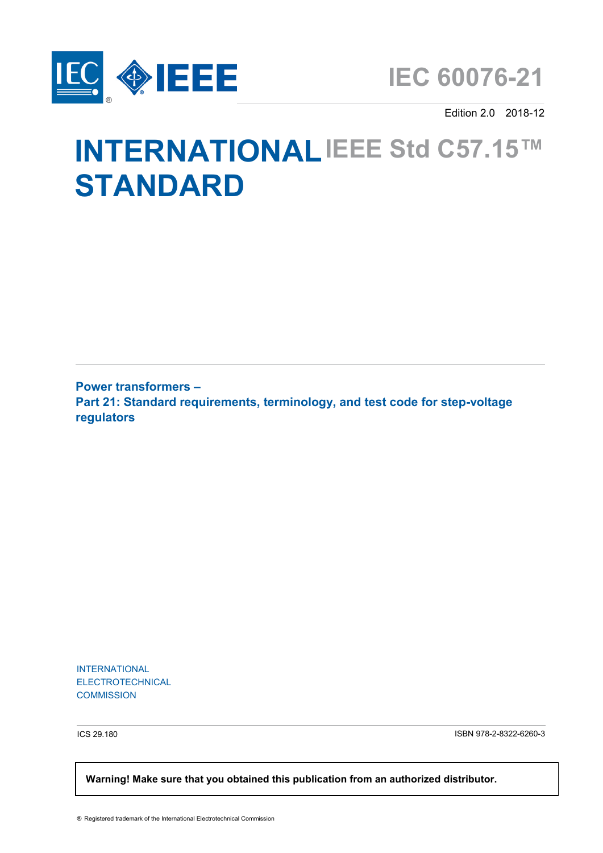

Edition 2.0 2018-12

# **INTERNATIONAL IEEE Std C57.15™ STANDARD**

**Power transformers – Part 21: Standard requirements, terminology, and test code for step-voltage regulators**

INTERNATIONAL ELECTROTECHNICAL **COMMISSION** 

ICS 29.180 ISBN 978-2-8322-6260-3

 **Warning! Make sure that you obtained this publication from an authorized distributor.**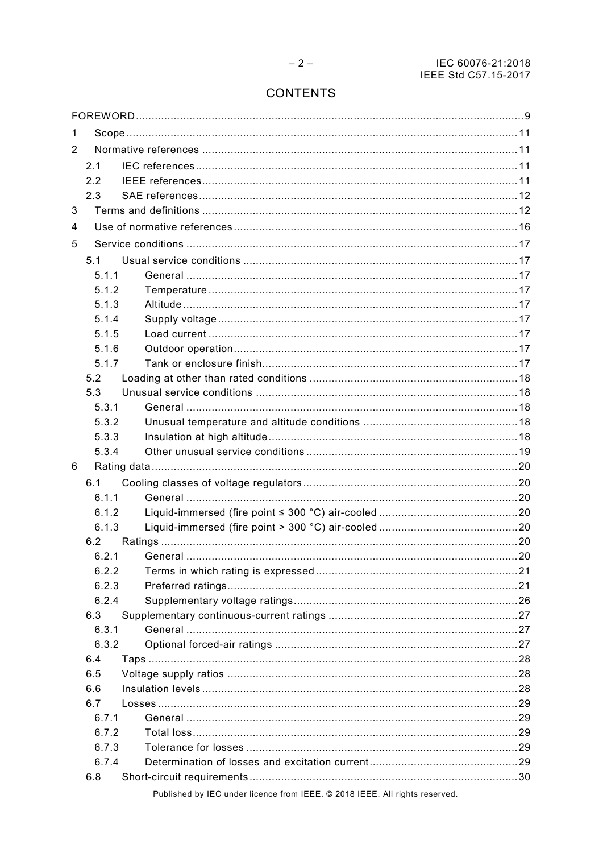## **CONTENTS**

| 1 |       |                                                                             |  |
|---|-------|-----------------------------------------------------------------------------|--|
| 2 |       |                                                                             |  |
|   | 2.1   |                                                                             |  |
|   | 2.2   |                                                                             |  |
|   | 2.3   |                                                                             |  |
| 3 |       |                                                                             |  |
| 4 |       |                                                                             |  |
| 5 |       |                                                                             |  |
|   | 5.1   |                                                                             |  |
|   | 5.1.1 |                                                                             |  |
|   | 5.1.2 |                                                                             |  |
|   | 5.1.3 |                                                                             |  |
|   | 5.1.4 |                                                                             |  |
|   | 5.1.5 |                                                                             |  |
|   | 5.1.6 |                                                                             |  |
|   | 5.1.7 |                                                                             |  |
|   | 5.2   |                                                                             |  |
|   | 5.3   |                                                                             |  |
|   | 5.3.1 |                                                                             |  |
|   | 5.3.2 |                                                                             |  |
|   | 5.3.3 |                                                                             |  |
|   | 5.3.4 |                                                                             |  |
| 6 |       |                                                                             |  |
|   | 6.1   |                                                                             |  |
|   | 6.1.1 |                                                                             |  |
|   | 6.1.2 |                                                                             |  |
|   | 6.1.3 |                                                                             |  |
|   | 6.2   |                                                                             |  |
|   | 6.2.1 |                                                                             |  |
|   | 6.2.2 |                                                                             |  |
|   | 6.2.3 |                                                                             |  |
|   | 6.2.4 |                                                                             |  |
|   | 6.3   |                                                                             |  |
|   | 6.3.1 |                                                                             |  |
|   | 6.3.2 |                                                                             |  |
|   | 6.4   |                                                                             |  |
|   | 6.5   |                                                                             |  |
|   | 6.6   |                                                                             |  |
|   | 6.7   |                                                                             |  |
|   | 6.7.1 |                                                                             |  |
|   | 6.7.2 |                                                                             |  |
|   | 6.7.3 |                                                                             |  |
|   | 6.7.4 |                                                                             |  |
|   | 6.8   |                                                                             |  |
|   |       | Published by IEC under licence from IEEE. @ 2018 IEEE. All rights reserved. |  |
|   |       |                                                                             |  |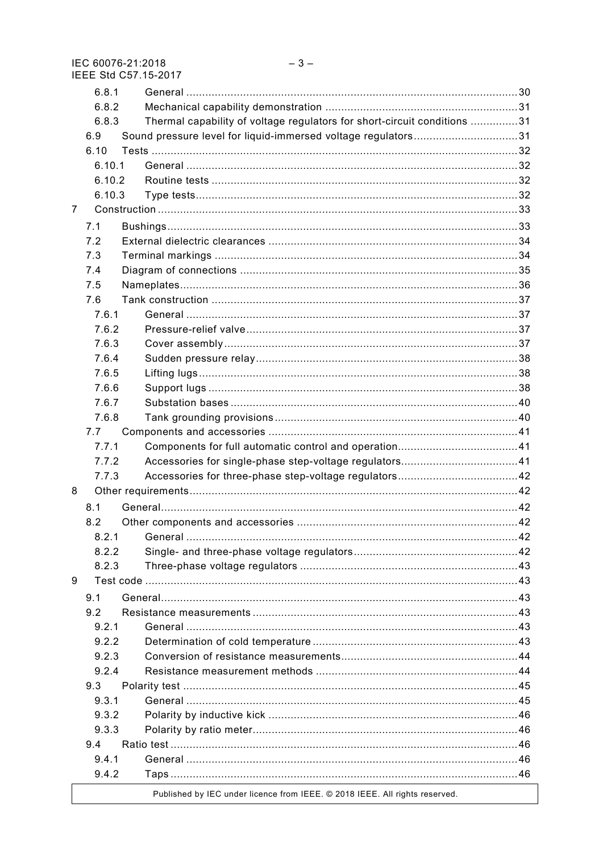|                | 6.8.1  |                                                                             |  |
|----------------|--------|-----------------------------------------------------------------------------|--|
|                | 6.8.2  |                                                                             |  |
|                | 6.8.3  | Thermal capability of voltage regulators for short-circuit conditions 31    |  |
|                | 6.9    | Sound pressure level for liquid-immersed voltage regulators31               |  |
|                | 6.10   |                                                                             |  |
|                | 6.10.1 |                                                                             |  |
|                | 6.10.2 |                                                                             |  |
|                | 6.10.3 |                                                                             |  |
| $\overline{7}$ |        |                                                                             |  |
|                | 7.1    |                                                                             |  |
|                | 7.2    |                                                                             |  |
|                | 7.3    |                                                                             |  |
|                | 7.4    |                                                                             |  |
|                | 7.5    |                                                                             |  |
|                | 7.6    |                                                                             |  |
|                | 7.6.1  |                                                                             |  |
|                | 7.6.2  |                                                                             |  |
|                | 7.6.3  |                                                                             |  |
|                | 7.6.4  |                                                                             |  |
|                | 7.6.5  |                                                                             |  |
|                | 7.6.6  |                                                                             |  |
|                | 7.6.7  |                                                                             |  |
|                | 7.6.8  |                                                                             |  |
|                | 7.7    |                                                                             |  |
|                | 7.7.1  |                                                                             |  |
|                | 7.7.2  |                                                                             |  |
|                | 7.7.3  |                                                                             |  |
| 8              |        |                                                                             |  |
|                |        |                                                                             |  |
|                | 8.1    |                                                                             |  |
|                | 8.2    |                                                                             |  |
|                | 8.2.1  |                                                                             |  |
|                | 8.2.2  |                                                                             |  |
|                | 8.2.3  |                                                                             |  |
| 9              |        |                                                                             |  |
|                | 9.1    |                                                                             |  |
|                | 9.2    |                                                                             |  |
|                | 9.2.1  |                                                                             |  |
|                | 9.2.2  |                                                                             |  |
|                | 9.2.3  |                                                                             |  |
|                | 9.2.4  |                                                                             |  |
|                | 9.3    |                                                                             |  |
|                | 9.3.1  |                                                                             |  |
|                | 9.3.2  |                                                                             |  |
|                | 9.3.3  |                                                                             |  |
|                | 9.4    |                                                                             |  |
|                | 9.4.1  |                                                                             |  |
|                | 9.4.2  |                                                                             |  |
|                |        | Published by IEC under licence from IEEE. @ 2018 IEEE. All rights reserved. |  |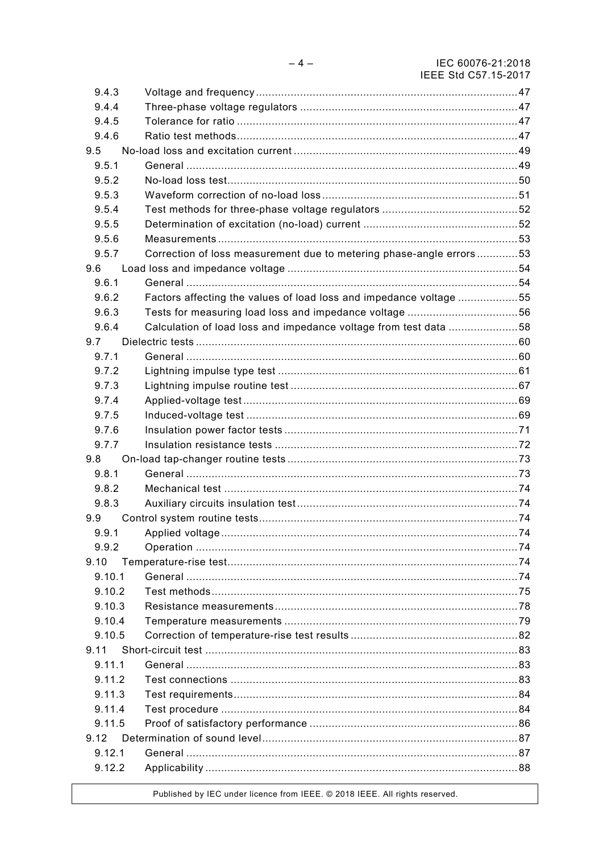| 9.4.3  |                                                                             |  |
|--------|-----------------------------------------------------------------------------|--|
| 9.4.4  |                                                                             |  |
| 9.4.5  |                                                                             |  |
| 9.4.6  |                                                                             |  |
| 9.5    |                                                                             |  |
| 9.5.1  |                                                                             |  |
| 9.5.2  |                                                                             |  |
| 9.5.3  |                                                                             |  |
| 9.5.4  |                                                                             |  |
| 9.5.5  |                                                                             |  |
| 9.5.6  |                                                                             |  |
| 9.5.7  | Correction of loss measurement due to metering phase-angle errors53         |  |
| 9.6    |                                                                             |  |
| 9.6.1  |                                                                             |  |
| 9.6.2  | Factors affecting the values of load loss and impedance voltage 55          |  |
| 9.6.3  |                                                                             |  |
| 9.6.4  | Calculation of load loss and impedance voltage from test data 58            |  |
| 9.7    |                                                                             |  |
| 9.7.1  |                                                                             |  |
| 9.7.2  |                                                                             |  |
| 9.7.3  |                                                                             |  |
| 9.7.4  |                                                                             |  |
| 9.7.5  |                                                                             |  |
| 9.7.6  |                                                                             |  |
| 9.7.7  |                                                                             |  |
| 9.8    |                                                                             |  |
| 9.8.1  |                                                                             |  |
| 9.8.2  |                                                                             |  |
| 9.8.3  |                                                                             |  |
| 9.9    |                                                                             |  |
| 9.9.1  |                                                                             |  |
| 9.9.2  |                                                                             |  |
| 9.10   |                                                                             |  |
| 9.10.1 |                                                                             |  |
| 9.10.2 |                                                                             |  |
| 9.10.3 |                                                                             |  |
| 9.10.4 |                                                                             |  |
| 9.10.5 |                                                                             |  |
| 9.11   |                                                                             |  |
| 9.11.1 |                                                                             |  |
| 9.11.2 |                                                                             |  |
| 9.11.3 |                                                                             |  |
| 9.11.4 |                                                                             |  |
| 9.11.5 |                                                                             |  |
| 9.12   |                                                                             |  |
| 9.12.1 |                                                                             |  |
| 9.12.2 |                                                                             |  |
|        | Published by IEC under licence from IEEE. © 2018 IEEE. All rights reserved. |  |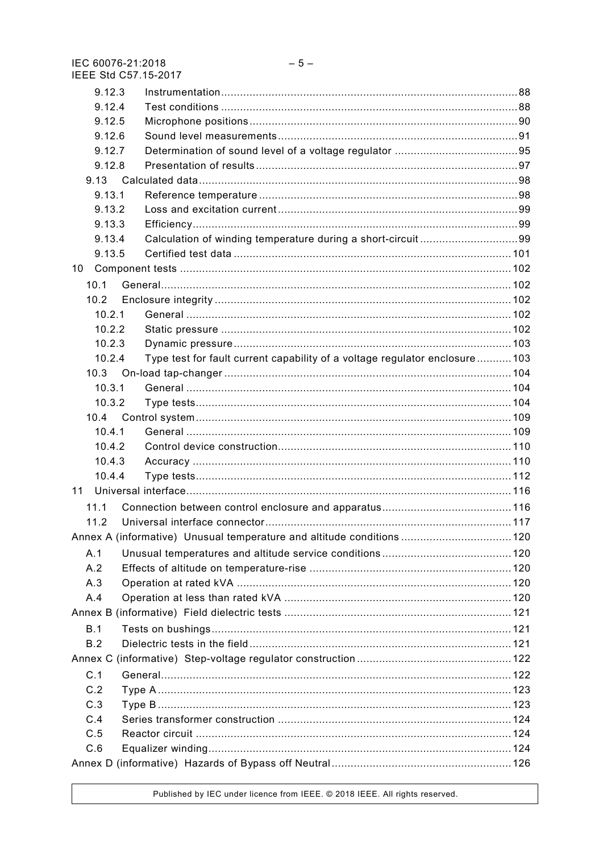| ILLL ON OUT TU-ZUTT                                                                   |  |
|---------------------------------------------------------------------------------------|--|
| 9.12.3                                                                                |  |
| 9.12.4                                                                                |  |
| 9.12.5                                                                                |  |
| 9.12.6                                                                                |  |
| 9.12.7                                                                                |  |
| 9.12.8                                                                                |  |
| 9.13                                                                                  |  |
| 9.13.1                                                                                |  |
| 9.13.2                                                                                |  |
| 9.13.3                                                                                |  |
| Calculation of winding temperature during a short-circuit99<br>9.13.4                 |  |
| 9.13.5                                                                                |  |
| 10                                                                                    |  |
| 10.1                                                                                  |  |
| 10.2                                                                                  |  |
| 10.2.1                                                                                |  |
| 10.2.2                                                                                |  |
| 10.2.3                                                                                |  |
| Type test for fault current capability of a voltage regulator enclosure 103<br>10.2.4 |  |
| 10.3                                                                                  |  |
| 10.3.1                                                                                |  |
|                                                                                       |  |
| 10.3.2                                                                                |  |
| 10.4                                                                                  |  |
| 10.4.1                                                                                |  |
| 10.4.2                                                                                |  |
| 10.4.3                                                                                |  |
| 10.4.4                                                                                |  |
| 11                                                                                    |  |
| 11.1                                                                                  |  |
| 11.2                                                                                  |  |
| Annex A (informative) Unusual temperature and altitude conditions  120                |  |
| A.1                                                                                   |  |
| A.2                                                                                   |  |
| A.3                                                                                   |  |
| A.4                                                                                   |  |
|                                                                                       |  |
| B.1                                                                                   |  |
| B.2                                                                                   |  |
|                                                                                       |  |
| C.1                                                                                   |  |
|                                                                                       |  |
| C.2                                                                                   |  |
| C.3                                                                                   |  |
| C.4                                                                                   |  |
| C.5                                                                                   |  |
| C.6                                                                                   |  |
|                                                                                       |  |

Published by IEC under licence from IEEE. @ 2018 IEEE. All rights reserved.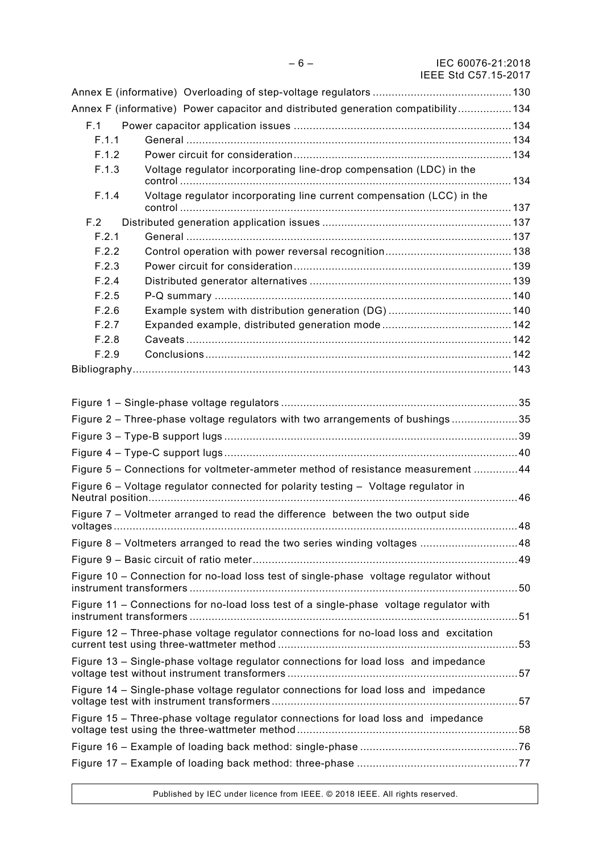|                                                                                        | Annex F (informative) Power capacitor and distributed generation compatibility 134    |  |
|----------------------------------------------------------------------------------------|---------------------------------------------------------------------------------------|--|
| F.1                                                                                    |                                                                                       |  |
| F.1.1                                                                                  |                                                                                       |  |
| F.1.2                                                                                  |                                                                                       |  |
| F.1.3                                                                                  | Voltage regulator incorporating line-drop compensation (LDC) in the                   |  |
| F.1.4                                                                                  | Voltage regulator incorporating line current compensation (LCC) in the                |  |
| F.2                                                                                    |                                                                                       |  |
| F.2.1                                                                                  |                                                                                       |  |
| F.2.2                                                                                  |                                                                                       |  |
| F.2.3                                                                                  |                                                                                       |  |
| F.2.4                                                                                  |                                                                                       |  |
| F.2.5                                                                                  |                                                                                       |  |
| F.2.6                                                                                  |                                                                                       |  |
| F.2.7                                                                                  |                                                                                       |  |
| F.2.8                                                                                  |                                                                                       |  |
| F.2.9                                                                                  |                                                                                       |  |
|                                                                                        |                                                                                       |  |
|                                                                                        |                                                                                       |  |
|                                                                                        |                                                                                       |  |
|                                                                                        | Figure 2 - Three-phase voltage regulators with two arrangements of bushings35         |  |
|                                                                                        |                                                                                       |  |
|                                                                                        |                                                                                       |  |
| Figure 5 – Connections for voltmeter-ammeter method of resistance measurement 44       |                                                                                       |  |
|                                                                                        | Figure 6 - Voltage regulator connected for polarity testing - Voltage regulator in    |  |
|                                                                                        |                                                                                       |  |
|                                                                                        | Figure 7 – Voltmeter arranged to read the difference between the two output side      |  |
|                                                                                        | Figure 8 - Voltmeters arranged to read the two series winding voltages  48            |  |
|                                                                                        |                                                                                       |  |
|                                                                                        |                                                                                       |  |
| Figure 10 - Connection for no-load loss test of single-phase voltage regulator without |                                                                                       |  |
| Figure 11 - Connections for no-load loss test of a single-phase voltage regulator with |                                                                                       |  |
|                                                                                        | Figure 12 - Three-phase voltage regulator connections for no-load loss and excitation |  |
|                                                                                        | Figure 13 - Single-phase voltage regulator connections for load loss and impedance    |  |
|                                                                                        | Figure 14 - Single-phase voltage regulator connections for load loss and impedance    |  |
| Figure 15 – Three-phase voltage regulator connections for load loss and impedance      |                                                                                       |  |
|                                                                                        |                                                                                       |  |
|                                                                                        |                                                                                       |  |
|                                                                                        |                                                                                       |  |

Published by IEC under licence from IEEE. © 2018 IEEE. All rights reserved.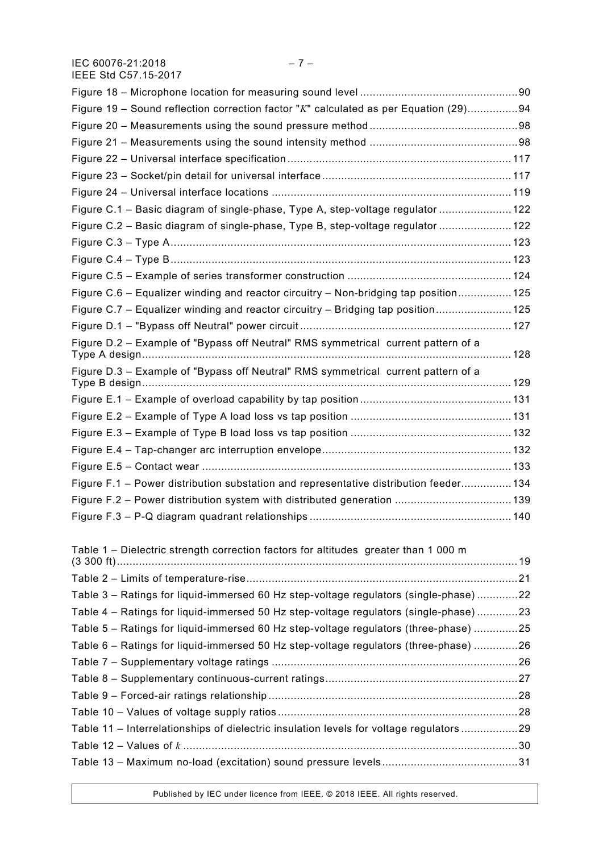IEC 60076-21:2018 – 7 – IEEE Std C57.15-2017

| Figure 19 - Sound reflection correction factor "K" calculated as per Equation (29)94    |  |
|-----------------------------------------------------------------------------------------|--|
|                                                                                         |  |
|                                                                                         |  |
|                                                                                         |  |
|                                                                                         |  |
|                                                                                         |  |
| Figure C.1 - Basic diagram of single-phase, Type A, step-voltage regulator  122         |  |
| Figure C.2 - Basic diagram of single-phase, Type B, step-voltage regulator 122          |  |
|                                                                                         |  |
|                                                                                         |  |
|                                                                                         |  |
| Figure C.6 – Equalizer winding and reactor circuitry – Non-bridging tap position 125    |  |
| Figure C.7 - Equalizer winding and reactor circuitry - Bridging tap position 125        |  |
|                                                                                         |  |
| Figure D.2 - Example of "Bypass off Neutral" RMS symmetrical current pattern of a       |  |
| Figure D.3 - Example of "Bypass off Neutral" RMS symmetrical current pattern of a       |  |
|                                                                                         |  |
|                                                                                         |  |
|                                                                                         |  |
|                                                                                         |  |
|                                                                                         |  |
| Figure F.1 - Power distribution substation and representative distribution feeder 134   |  |
|                                                                                         |  |
|                                                                                         |  |
| Table 1 - Dielectric strength correction factors for altitudes greater than 1 000 m     |  |
|                                                                                         |  |
|                                                                                         |  |
| Table 3 - Ratings for liquid-immersed 60 Hz step-voltage regulators (single-phase)22    |  |
| Table 4 - Ratings for liquid-immersed 50 Hz step-voltage regulators (single-phase) 23   |  |
| Table 5 - Ratings for liquid-immersed 60 Hz step-voltage regulators (three-phase) 25    |  |
| Table 6 - Ratings for liquid-immersed 50 Hz step-voltage regulators (three-phase) 26    |  |
|                                                                                         |  |
|                                                                                         |  |
|                                                                                         |  |
|                                                                                         |  |
| Table 11 - Interrelationships of dielectric insulation levels for voltage regulators 29 |  |
|                                                                                         |  |

Table 13 – Maximum no-load (excitation) sound pressure levels ...........................................31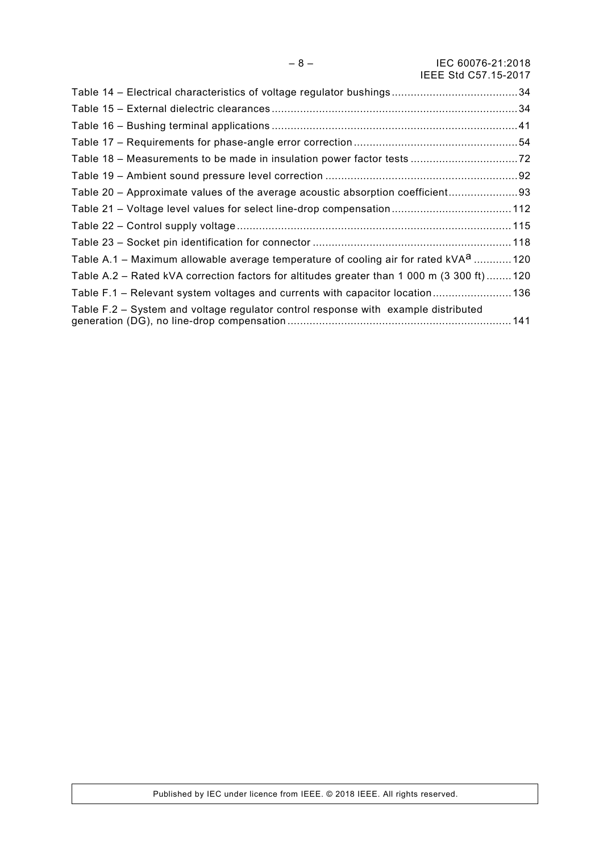| Table 20 - Approximate values of the average acoustic absorption coefficient 93                 |  |
|-------------------------------------------------------------------------------------------------|--|
| Table 21 - Voltage level values for select line-drop compensation 112                           |  |
|                                                                                                 |  |
|                                                                                                 |  |
| Table A.1 – Maximum allowable average temperature of cooling air for rated kVA <sup>a</sup> 120 |  |
| Table A.2 – Rated kVA correction factors for altitudes greater than 1 000 m (3 300 ft)120       |  |
| Table F.1 - Relevant system voltages and currents with capacitor location 136                   |  |
| Table F.2 – System and voltage regulator control response with example distributed              |  |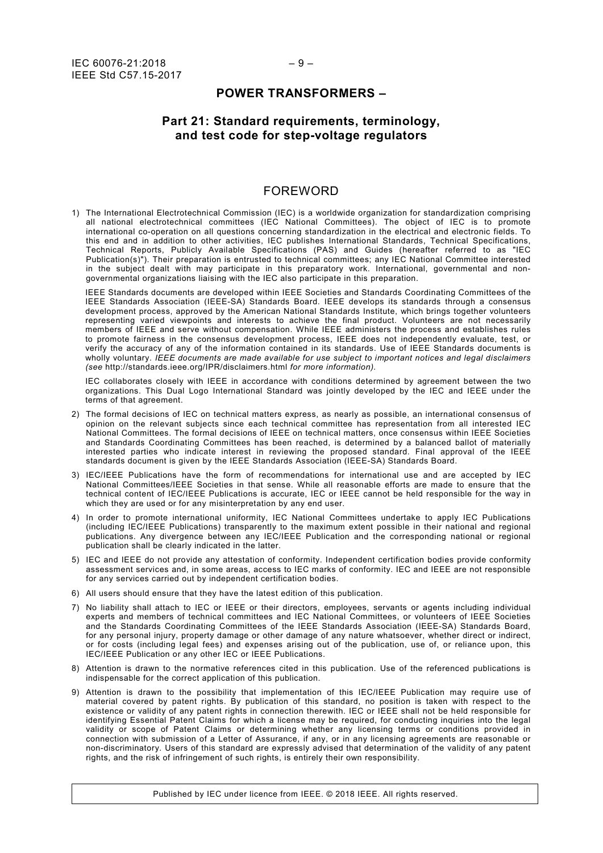#### **POWER TRANSFORMERS –**

## **Part 21: Standard requirements, terminology, and test code for step-voltage regulators**

## FOREWORD

<span id="page-8-0"></span>1) The International Electrotechnical Commission (IEC) is a worldwide organization for standardization comprising all national electrotechnical committees (IEC National Committees). The object of IEC is to promote international co-operation on all questions concerning standardization in the electrical and electronic fields. To this end and in addition to other activities, IEC publishes International Standards, Technical Specifications, Technical Reports, Publicly Available Specifications (PAS) and Guides (hereafter referred to as "IEC Publication(s)"). Their preparation is entrusted to technical committees; any IEC National Committee interested in the subject dealt with may participate in this preparatory work. International, governmental and nongovernmental organizations liaising with the IEC also participate in this preparation.

IEEE Standards documents are developed within IEEE Societies and Standards Coordinating Committees of the IEEE Standards Association (IEEE-SA) Standards Board. IEEE develops its standards through a consensus development process, approved by the American National Standards Institute, which brings together volunteers representing varied viewpoints and interests to achieve the final product. Volunteers are not necessarily members of IEEE and serve without compensation. While IEEE administers the process and establishes rules to promote fairness in the consensus development process, IEEE does not independently evaluate, test, or verify the accuracy of any of the information contained in its standards. Use of IEEE Standards documents is wholly voluntary. *IEEE documents are made available for use subject to important notices and legal disclaimers (see* <http://standards.ieee.org/IPR/disclaimers.html> *for more information).*

IEC collaborates closely with IEEE in accordance with conditions determined by agreement between the two organizations. This Dual Logo International Standard was jointly developed by the IEC and IEEE under the terms of that agreement.

- 2) The formal decisions of IEC on technical matters express, as nearly as possible, an international consensus of opinion on the relevant subjects since each technical committee has representation from all interested IEC National Committees. The formal decisions of IEEE on technical matters, once consensus within IEEE Societies and Standards Coordinating Committees has been reached, is determined by a balanced ballot of materially interested parties who indicate interest in reviewing the proposed standard. Final approval of the IEEE standards document is given by the IEEE Standards Association (IEEE-SA) Standards Board.
- 3) IEC/IEEE Publications have the form of recommendations for international use and are accepted by IEC National Committees/IEEE Societies in that sense. While all reasonable efforts are made to ensure that the technical content of IEC/IEEE Publications is accurate, IEC or IEEE cannot be held responsible for the way in which they are used or for any misinterpretation by any end user.
- 4) In order to promote international uniformity, IEC National Committees undertake to apply IEC Publications (including IEC/IEEE Publications) transparently to the maximum extent possible in their national and regional publications. Any divergence between any IEC/IEEE Publication and the corresponding national or regional publication shall be clearly indicated in the latter.
- 5) IEC and IEEE do not provide any attestation of conformity. Independent certification bodies provide conformity assessment services and, in some areas, access to IEC marks of conformity. IEC and IEEE are not responsible for any services carried out by independent certification bodies.
- 6) All users should ensure that they have the latest edition of this publication.
- 7) No liability shall attach to IEC or IEEE or their directors, employees, servants or agents including individual experts and members of technical committees and IEC National Committees, or volunteers of IEEE Societies and the Standards Coordinating Committees of the IEEE Standards Association (IEEE-SA) Standards Board, for any personal injury, property damage or other damage of any nature whatsoever, whether direct or indirect, or for costs (including legal fees) and expenses arising out of the publication, use of, or reliance upon, this IEC/IEEE Publication or any other IEC or IEEE Publications.
- 8) Attention is drawn to the normative references cited in this publication. Use of the referenced publications is indispensable for the correct application of this publication.
- 9) Attention is drawn to the possibility that implementation of this IEC/IEEE Publication may require use of material covered by patent rights. By publication of this standard, no position is taken with respect to the existence or validity of any patent rights in connection therewith. IEC or IEEE shall not be held responsible for identifying Essential Patent Claims for which a license may be required, for conducting inquiries into the legal validity or scope of Patent Claims or determining whether any licensing terms or conditions provided in connection with submission of a Letter of Assurance, if any, or in any licensing agreements are reasonable or non-discriminatory. Users of this standard are expressly advised that determination of the validity of any patent rights, and the risk of infringement of such rights, is entirely their own responsibility.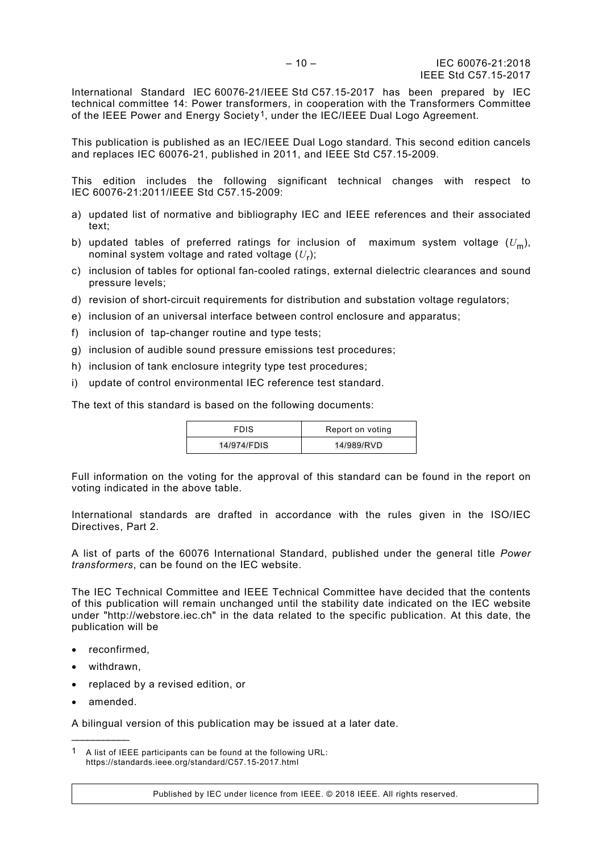International Standard IEC 60076-21/IEEE Std C57.15-2017 has been prepared by IEC technical committee 14: Power transformers, in cooperation with the Transformers Committee of the IEEE Power and Energy Society<sup>1</sup>, under the IEC/IEEE Dual Logo Agreement.

This publication is published as an IEC/IEEE Dual Logo standard. This second edition cancels and replaces IEC 60076-21, published in 2011, and IEEE Std C57.15-2009.

This edition includes the following significant technical changes with respect to IEC 60076-21:2011/IEEE Std C57.15-2009:

- a) updated list of normative and bibliography IEC and IEEE references and their associated text;
- b) updated tables of preferred ratings for inclusion of maximum system voltage  $(U_m)$ , nominal system voltage and rated voltage (*U*r);
- c) inclusion of tables for optional fan-cooled ratings, external dielectric clearances and sound pressure levels;
- d) revision of short-circuit requirements for distribution and substation voltage regulators;
- e) inclusion of an universal interface between control enclosure and apparatus;
- f) inclusion of tap-changer routine and type tests;
- g) inclusion of audible sound pressure emissions test procedures;
- h) inclusion of tank enclosure integrity type test procedures;
- i) update of control environmental IEC reference test standard.

The text of this standard is based on the following documents:

| <b>FDIS</b> | Report on voting |
|-------------|------------------|
| 14/974/FDIS | 14/989/RVD       |

Full information on the voting for the approval of this standard can be found in the report on voting indicated in the above table.

International standards are drafted in accordance with the rules given in the ISO/IEC Directives, Part 2.

A list of parts of the 60076 International Standard, published under the general title *Power transformers*, can be found on the IEC website.

The IEC Technical Committee and IEEE Technical Committee have decided that the contents of this publication will remain unchanged until the stability date indicated on the IEC website under "http://webstore.iec.ch" in the data related to the specific publication. At this date, the publication will be

- reconfirmed,
- withdrawn,
- replaced by a revised edition, or
- amended.

\_\_\_\_\_\_\_\_\_\_\_\_\_

A bilingual version of this publication may be issued at a later date.

Published by IEC under licence from IEEE. © 2018 IEEE. All rights reserved.

<span id="page-9-0"></span><sup>1</sup> A list of IEEE participants can be found at the following URL: https://standards.ieee.org/standard/C57.15-2017.html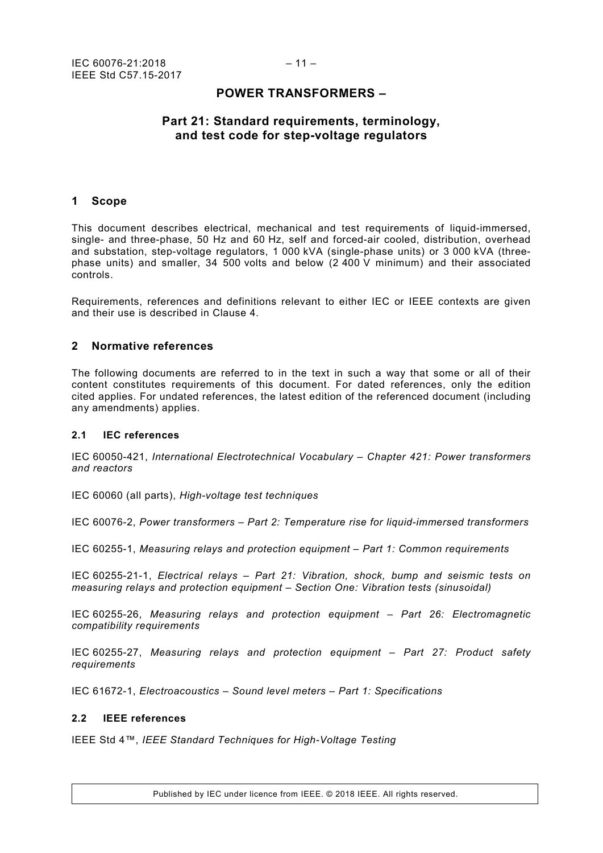## **POWER TRANSFORMERS –**

## **Part 21: Standard requirements, terminology, and test code for step-voltage regulators**

#### <span id="page-10-0"></span>**1 Scope**

This document describes electrical, mechanical and test requirements of liquid-immersed, single- and three-phase, 50 Hz and 60 Hz, self and forced-air cooled, distribution, overhead and substation, step-voltage regulators, 1 000 kVA (single-phase units) or 3 000 kVA (threephase units) and smaller, 34 500 volts and below (2 400 V minimum) and their associated controls.

Requirements, references and definitions relevant to either IEC or IEEE contexts are given and their use is described in Clause 4.

#### <span id="page-10-1"></span>**2 Normative references**

The following documents are referred to in the text in such a way that some or all of their content constitutes requirements of this document. For dated references, only the edition cited applies. For undated references, the latest edition of the referenced document (including any amendments) applies.

#### <span id="page-10-2"></span>**2.1 IEC references**

IEC 60050-421, *International Electrotechnical Vocabulary – Chapter 421: Power transformers and reactors*

IEC 60060 (all parts), *High-voltage test techniques*

IEC 60076-2, *Power transformers – Part 2: Temperature rise for liquid-immersed transformers*

IEC 60255-1, *Measuring relays and protection equipment – Part 1: Common requirements*

IEC 60255-21-1, *Electrical relays – Part 21: Vibration, shock, bump and seismic tests on measuring relays and protection equipment – Section One: Vibration tests (sinusoidal)*

IEC 60255-26, *Measuring relays and protection equipment – Part 26: Electromagnetic compatibility requirements*

IEC 60255-27, *Measuring relays and protection equipment – Part 27: Product safety requirements*

IEC 61672-1, *Electroacoustics – Sound level meters – Part 1: Specifications*

### <span id="page-10-3"></span>**2.2 IEEE references**

IEEE Std 4™, *IEEE Standard Techniques for High-Voltage Testing*